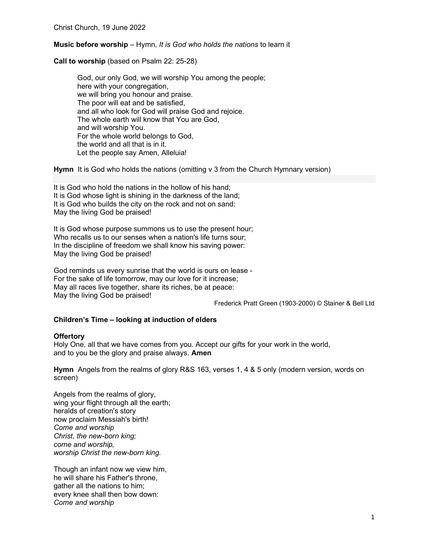## Music before worship – Hymn, It is God who holds the nations to learn it

Call to worship (based on Psalm 22: 25-28)

God, our only God, we will worship You among the people; here with your congregation, we will bring you honour and praise. The poor will eat and be satisfied, and all who look for God will praise God and rejoice. The whole earth will know that You are God, and will worship You. For the whole world belongs to God, the world and all that is in it. Let the people say Amen, Alleluia!

Hymn It is God who holds the nations (omitting v 3 from the Church Hymnary version)

It is God who hold the nations in the hollow of his hand; It is God whose light is shining in the darkness of the land; It is God who builds the city on the rock and not on sand: May the living God be praised!

It is God whose purpose summons us to use the present hour; Who recalls us to our senses when a nation's life turns sour; In the discipline of freedom we shall know his saving power: May the living God be praised!

God reminds us every sunrise that the world is ours on lease - For the sake of life tomorrow, may our love for it increase; May all races live together, share its riches, be at peace: May the living God be praised!

Frederick Pratt Green (1903-2000) © Stainer & Bell Ltd

### Children's Time – looking at induction of elders

### **Offertory**

Holy One, all that we have comes from you. Accept our gifts for your work in the world, and to you be the glory and praise always. Amen

Hymn Angels from the realms of glory R&S 163, verses 1, 4 & 5 only (modern version, words on screen)

Angels from the realms of glory, wing your flight through all the earth; heralds of creation's story now proclaim Messiah's birth! Come and worship Christ, the new-born king; come and worship, worship Christ the new-born king.

Though an infant now we view him, he will share his Father's throne, gather all the nations to him; every knee shall then bow down: Come and worship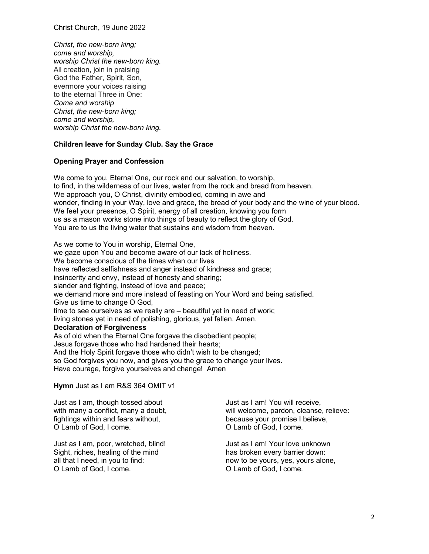Christ Church, 19 June 2022

Christ, the new-born king; come and worship, worship Christ the new-born king. All creation, join in praising God the Father, Spirit, Son, evermore your voices raising to the eternal Three in One: Come and worship Christ, the new-born king; come and worship, worship Christ the new-born king.

# Children leave for Sunday Club. Say the Grace

## Opening Prayer and Confession

We come to you, Eternal One, our rock and our salvation, to worship, to find, in the wilderness of our lives, water from the rock and bread from heaven. We approach you, O Christ, divinity embodied, coming in awe and wonder, finding in your Way, love and grace, the bread of your body and the wine of your blood. We feel your presence, O Spirit, energy of all creation, knowing you form us as a mason works stone into things of beauty to reflect the glory of God. You are to us the living water that sustains and wisdom from heaven.

As we come to You in worship, Eternal One, we gaze upon You and become aware of our lack of holiness. We become conscious of the times when our lives have reflected selfishness and anger instead of kindness and grace; insincerity and envy, instead of honesty and sharing; slander and fighting, instead of love and peace; we demand more and more instead of feasting on Your Word and being satisfied. Give us time to change O God, time to see ourselves as we really are – beautiful yet in need of work; living stones yet in need of polishing, glorious, yet fallen. Amen. Declaration of Forgiveness As of old when the Eternal One forgave the disobedient people; Jesus forgave those who had hardened their hearts; And the Holy Spirit forgave those who didn't wish to be changed; so God forgives you now, and gives you the grace to change your lives.

Have courage, forgive yourselves and change! Amen

Hymn Just as I am R&S 364 OMIT v1

Just as I am, though tossed about with many a conflict, many a doubt, fightings within and fears without, O Lamb of God, I come.

Just as I am, poor, wretched, blind! Sight, riches, healing of the mind all that I need, in you to find: O Lamb of God, I come.

Just as I am! You will receive, will welcome, pardon, cleanse, relieve: because your promise I believe, O Lamb of God, I come.

Just as I am! Your love unknown has broken every barrier down: now to be yours, yes, yours alone, O Lamb of God, I come.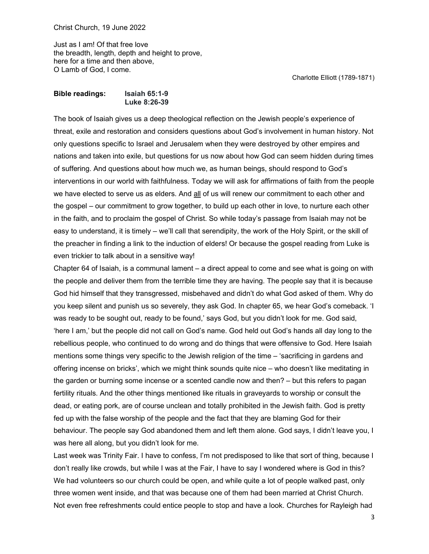Just as I am! Of that free love the breadth, length, depth and height to prove, here for a time and then above, O Lamb of God, I come.

Charlotte Elliott (1789-1871)

### Bible readings: Isaiah 65:1-9 Luke 8:26-39

The book of Isaiah gives us a deep theological reflection on the Jewish people's experience of threat, exile and restoration and considers questions about God's involvement in human history. Not only questions specific to Israel and Jerusalem when they were destroyed by other empires and nations and taken into exile, but questions for us now about how God can seem hidden during times of suffering. And questions about how much we, as human beings, should respond to God's interventions in our world with faithfulness. Today we will ask for affirmations of faith from the people we have elected to serve us as elders. And all of us will renew our commitment to each other and the gospel – our commitment to grow together, to build up each other in love, to nurture each other in the faith, and to proclaim the gospel of Christ. So while today's passage from Isaiah may not be easy to understand, it is timely – we'll call that serendipity, the work of the Holy Spirit, or the skill of the preacher in finding a link to the induction of elders! Or because the gospel reading from Luke is even trickier to talk about in a sensitive way!

Chapter 64 of Isaiah, is a communal lament – a direct appeal to come and see what is going on with the people and deliver them from the terrible time they are having. The people say that it is because God hid himself that they transgressed, misbehaved and didn't do what God asked of them. Why do you keep silent and punish us so severely, they ask God. In chapter 65, we hear God's comeback. 'I was ready to be sought out, ready to be found,' says God, but you didn't look for me. God said, 'here I am,' but the people did not call on God's name. God held out God's hands all day long to the rebellious people, who continued to do wrong and do things that were offensive to God. Here Isaiah mentions some things very specific to the Jewish religion of the time – 'sacrificing in gardens and offering incense on bricks', which we might think sounds quite nice – who doesn't like meditating in the garden or burning some incense or a scented candle now and then? – but this refers to pagan fertility rituals. And the other things mentioned like rituals in graveyards to worship or consult the dead, or eating pork, are of course unclean and totally prohibited in the Jewish faith. God is pretty fed up with the false worship of the people and the fact that they are blaming God for their behaviour. The people say God abandoned them and left them alone. God says, I didn't leave you, I was here all along, but you didn't look for me.

Last week was Trinity Fair. I have to confess, I'm not predisposed to like that sort of thing, because I don't really like crowds, but while I was at the Fair, I have to say I wondered where is God in this? We had volunteers so our church could be open, and while quite a lot of people walked past, only three women went inside, and that was because one of them had been married at Christ Church. Not even free refreshments could entice people to stop and have a look. Churches for Rayleigh had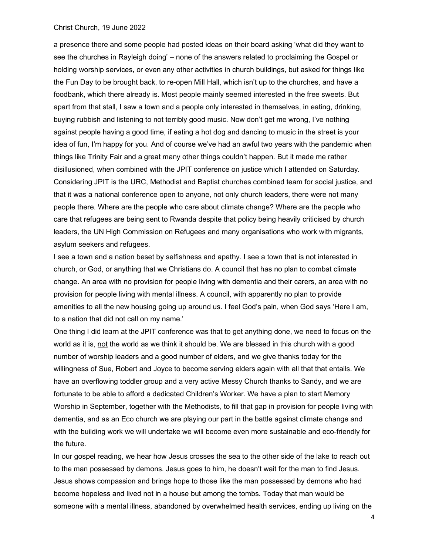#### Christ Church, 19 June 2022

a presence there and some people had posted ideas on their board asking 'what did they want to see the churches in Rayleigh doing' – none of the answers related to proclaiming the Gospel or holding worship services, or even any other activities in church buildings, but asked for things like the Fun Day to be brought back, to re-open Mill Hall, which isn't up to the churches, and have a foodbank, which there already is. Most people mainly seemed interested in the free sweets. But apart from that stall, I saw a town and a people only interested in themselves, in eating, drinking, buying rubbish and listening to not terribly good music. Now don't get me wrong, I've nothing against people having a good time, if eating a hot dog and dancing to music in the street is your idea of fun, I'm happy for you. And of course we've had an awful two years with the pandemic when things like Trinity Fair and a great many other things couldn't happen. But it made me rather disillusioned, when combined with the JPIT conference on justice which I attended on Saturday. Considering JPIT is the URC, Methodist and Baptist churches combined team for social justice, and that it was a national conference open to anyone, not only church leaders, there were not many people there. Where are the people who care about climate change? Where are the people who care that refugees are being sent to Rwanda despite that policy being heavily criticised by church leaders, the UN High Commission on Refugees and many organisations who work with migrants, asylum seekers and refugees.

I see a town and a nation beset by selfishness and apathy. I see a town that is not interested in church, or God, or anything that we Christians do. A council that has no plan to combat climate change. An area with no provision for people living with dementia and their carers, an area with no provision for people living with mental illness. A council, with apparently no plan to provide amenities to all the new housing going up around us. I feel God's pain, when God says 'Here I am, to a nation that did not call on my name.'

One thing I did learn at the JPIT conference was that to get anything done, we need to focus on the world as it is, not the world as we think it should be. We are blessed in this church with a good number of worship leaders and a good number of elders, and we give thanks today for the willingness of Sue, Robert and Joyce to become serving elders again with all that that entails. We have an overflowing toddler group and a very active Messy Church thanks to Sandy, and we are fortunate to be able to afford a dedicated Children's Worker. We have a plan to start Memory Worship in September, together with the Methodists, to fill that gap in provision for people living with dementia, and as an Eco church we are playing our part in the battle against climate change and with the building work we will undertake we will become even more sustainable and eco-friendly for the future.

In our gospel reading, we hear how Jesus crosses the sea to the other side of the lake to reach out to the man possessed by demons. Jesus goes to him, he doesn't wait for the man to find Jesus. Jesus shows compassion and brings hope to those like the man possessed by demons who had become hopeless and lived not in a house but among the tombs. Today that man would be someone with a mental illness, abandoned by overwhelmed health services, ending up living on the

4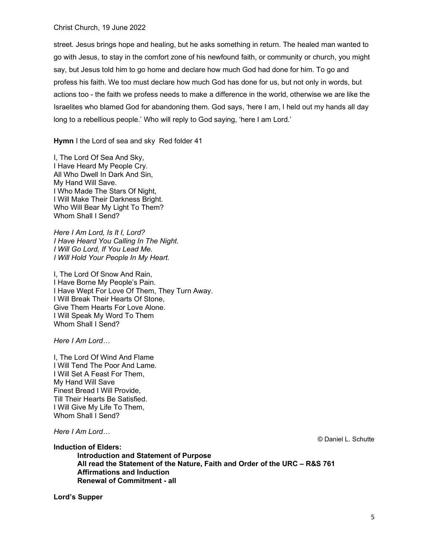### Christ Church, 19 June 2022

street. Jesus brings hope and healing, but he asks something in return. The healed man wanted to go with Jesus, to stay in the comfort zone of his newfound faith, or community or church, you might say, but Jesus told him to go home and declare how much God had done for him. To go and profess his faith. We too must declare how much God has done for us, but not only in words, but actions too - the faith we profess needs to make a difference in the world, otherwise we are like the Israelites who blamed God for abandoning them. God says, 'here I am, I held out my hands all day long to a rebellious people.' Who will reply to God saying, 'here I am Lord.'

Hymn I the Lord of sea and sky Red folder 41

I, The Lord Of Sea And Sky, I Have Heard My People Cry. All Who Dwell In Dark And Sin, My Hand Will Save. I Who Made The Stars Of Night, I Will Make Their Darkness Bright. Who Will Bear My Light To Them? Whom Shall I Send?

Here I Am Lord, Is It I, Lord? I Have Heard You Calling In The Night. I Will Go Lord, If You Lead Me. I Will Hold Your People In My Heart.

I, The Lord Of Snow And Rain, I Have Borne My People's Pain. I Have Wept For Love Of Them, They Turn Away. I Will Break Their Hearts Of Stone, Give Them Hearts For Love Alone. I Will Speak My Word To Them Whom Shall I Send?

Here I Am Lord…

I, The Lord Of Wind And Flame I Will Tend The Poor And Lame. I Will Set A Feast For Them, My Hand Will Save Finest Bread I Will Provide, Till Their Hearts Be Satisfied. I Will Give My Life To Them, Whom Shall I Send?

Here I Am Lord…

Induction of Elders:

 Introduction and Statement of Purpose All read the Statement of the Nature, Faith and Order of the URC – R&S 761 Affirmations and Induction Renewal of Commitment - all

Lord's Supper

© Daniel L. Schutte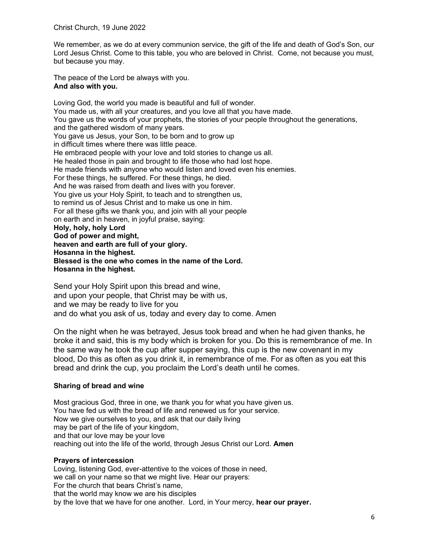We remember, as we do at every communion service, the gift of the life and death of God's Son, our Lord Jesus Christ. Come to this table, you who are beloved in Christ. Come, not because you must, but because you may.

The peace of the Lord be always with you. And also with you.

Loving God, the world you made is beautiful and full of wonder. You made us, with all your creatures, and you love all that you have made. You gave us the words of your prophets, the stories of your people throughout the generations, and the gathered wisdom of many years. You gave us Jesus, your Son, to be born and to grow up in difficult times where there was little peace. He embraced people with your love and told stories to change us all. He healed those in pain and brought to life those who had lost hope. He made friends with anyone who would listen and loved even his enemies. For these things, he suffered. For these things, he died. And he was raised from death and lives with you forever. You give us your Holy Spirit, to teach and to strengthen us, to remind us of Jesus Christ and to make us one in him. For all these gifts we thank you, and join with all your people on earth and in heaven, in joyful praise, saying: Holy, holy, holy Lord God of power and might, heaven and earth are full of your glory. Hosanna in the highest. Blessed is the one who comes in the name of the Lord. Hosanna in the highest.

Send your Holy Spirit upon this bread and wine, and upon your people, that Christ may be with us, and we may be ready to live for you and do what you ask of us, today and every day to come. Amen

On the night when he was betrayed, Jesus took bread and when he had given thanks, he broke it and said, this is my body which is broken for you. Do this is remembrance of me. In the same way he took the cup after supper saying, this cup is the new covenant in my blood, Do this as often as you drink it, in remembrance of me. For as often as you eat this bread and drink the cup, you proclaim the Lord's death until he comes.

# Sharing of bread and wine

Most gracious God, three in one, we thank you for what you have given us. You have fed us with the bread of life and renewed us for your service. Now we give ourselves to you, and ask that our daily living may be part of the life of your kingdom, and that our love may be your love reaching out into the life of the world, through Jesus Christ our Lord. Amen

## Prayers of intercession

Loving, listening God, ever-attentive to the voices of those in need, we call on your name so that we might live. Hear our prayers: For the church that bears Christ's name, that the world may know we are his disciples by the love that we have for one another. Lord, in Your mercy, hear our prayer.